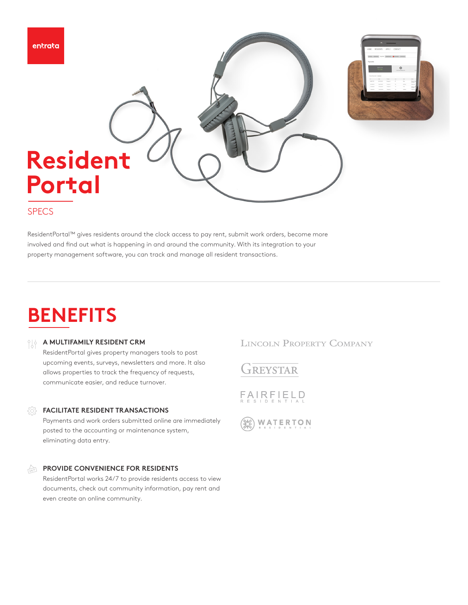

#### **SPECS**

ResidentPortal™ gives residents around the clock access to pay rent, submit work orders, become more involved and find out what is happening in and around the community. With its integration to your property management software, you can track and manage all resident transactions.

## **BENEFITS**

#### **A MULTIFAMILY RESIDENT CRM**

ResidentPortal gives property managers tools to post upcoming events, surveys, newsletters and more. It also allows properties to track the frequency of requests, communicate easier, and reduce turnover.

#### *FACILITATE RESIDENT TRANSACTIONS*

Payments and work orders submitted online are immediately posted to the accounting or maintenance system, eliminating data entry.

#### **PROVIDE CONVENIENCE FOR RESIDENTS**   $\sum_{\tau \in \Delta \cap \mathcal{T}}$

ResidentPortal works 24/7 to provide residents access to view documents, check out community information, pay rent and even create an online community.

#### **LINCOLN PROPERTY COMPANY**